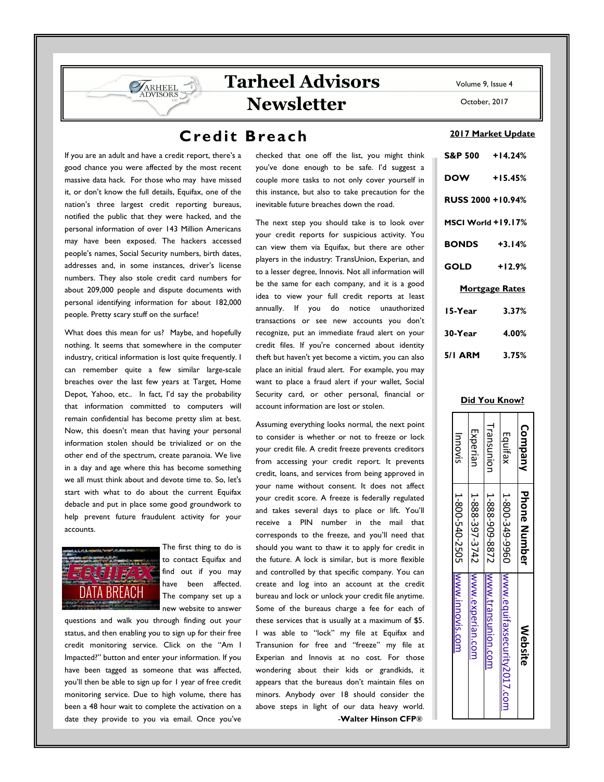# **Credit Breach**

If you are an adult and have a credit report, there's a good chance you were affected by the most recent massive data hack. For those who may have missed it, or don't know the full details, Equifax, one of the nation's three largest credit reporting bureaus, notified the public that they were hacked, and the personal information of over 143 Million Americans may have been exposed. The hackers accessed people's names, Social Security numbers, birth dates, addresses and, in some instances, driver's license numbers. They also stole credit card numbers for about 209,000 people and dispute documents with personal identifying information for about 182,000 people. Pretty scary stuff on the surface!

**VARHEEL DVISORS** 

What does this mean for us? Maybe, and hopefully nothing. It seems that somewhere in the computer industry, critical information is lost quite frequently. I can remember quite a few similar large-scale breaches over the last few years at Target, Home Depot, Yahoo, etc.. In fact, I'd say the probability that information committed to computers will remain confidential has become pretty slim at best. Now, this doesn't mean that having your personal information stolen should be trivialized or on the other end of the spectrum, create paranoia. We live in a day and age where this has become something we all must think about and devote time to. So, let's start with what to do about the current Equifax debacle and put in place some good groundwork to help prevent future fraudulent activity for your accounts.



The first thing to do is to contact Equifax and find out if you may have been affected. The company set up a new website to answer

questions and walk you through finding out your status, and then enabling you to sign up for their free credit monitoring service. Click on the "Am I Impacted?" button and enter your information. If you have been tagged as someone that was affected, you'll then be able to sign up for 1 year of free credit monitoring service. Due to high volume, there has been a 48 hour wait to complete the activation on a date they provide to you via email. Once you've

checked that one off the list, you might think you've done enough to be safe. I'd suggest a couple more tasks to not only cover yourself in this instance, but also to take precaution for the inevitable future breaches down the road.

The next step you should take is to look over your credit reports for suspicious activity. You can view them via Equifax, but there are other players in the industry: TransUnion, Experian, and to a lesser degree, Innovis. Not all information will be the same for each company, and it is a good idea to view your full credit reports at least annually. If you do notice unauthorized transactions or see new accounts you don't recognize, put an immediate fraud alert on your credit files. If you're concerned about identity theft but haven't yet become a victim, you can also place an initial fraud alert. For example, you may want to place a fraud alert if your wallet, Social Security card, or other personal, financial or account information are lost or stolen.

Assuming everything looks normal, the next point to consider is whether or not to freeze or lock your credit file. A credit freeze prevents creditors from accessing your credit report. It prevents credit, loans, and services from being approved in your name without consent. It does not affect your credit score. A freeze is federally regulated and takes several days to place or lift. You'll receive a PIN number in the mail that corresponds to the freeze, and you'll need that should you want to thaw it to apply for credit in the future. A lock is similar, but is more flexible and controlled by that specific company. You can create and log into an account at the credit bureau and lock or unlock your credit file anytime. Some of the bureaus charge a fee for each of these services that is usually at a maximum of \$5. I was able to "lock" my file at Equifax and Transunion for free and "freeze" my file at Experian and Innovis at no cost. For those wondering about their kids or grandkids, it appears that the bureaus don't maintain files on minors. Anybody over 18 should consider the above steps in light of our data heavy world. -**Walter Hinson CFP®** 

Volume 9, Issue 4

October, 2017

#### **2017 Market Update**

| S&P 500 +14.24%          |                       |
|--------------------------|-----------------------|
| <b>DOW</b>               | $+15.45%$             |
| <b>RUSS 2000 +10.94%</b> |                       |
| MSCI World +19.17%       |                       |
| <b>BONDS</b> +3.14%      |                       |
| <b>GOLD</b>              | $+12.9%$              |
|                          | <u>Mortgage Rates</u> |
| 15-Year                  | 3.37%                 |
| 30-Year                  | 4.00%                 |
| 5/1 ARM 3.75%            |                       |

### **Did You Know?**

| Company    | <b>Phone Number</b>              | Website                                     |
|------------|----------------------------------|---------------------------------------------|
| Equifax    |                                  | 1-800-349-9960  www.equifaxsecurity2017.com |
| Transunion |                                  | 1-888-909-8872   Www.transunion.com         |
| Experian   |                                  | 1-888-397-3742 WWW.experian.com             |
| Innovis    | 1-800-540-7505<br>1-800-540-7505 |                                             |
|            |                                  |                                             |